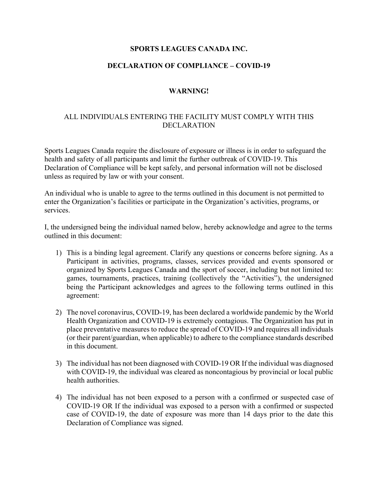## **SPORTS LEAGUES CANADA INC.**

### **DECLARATION OF COMPLIANCE – COVID-19**

#### **WARNING!**

## ALL INDIVIDUALS ENTERING THE FACILITY MUST COMPLY WITH THIS DECLARATION

Sports Leagues Canada require the disclosure of exposure or illness is in order to safeguard the health and safety of all participants and limit the further outbreak of COVID-19. This Declaration of Compliance will be kept safely, and personal information will not be disclosed unless as required by law or with your consent.

An individual who is unable to agree to the terms outlined in this document is not permitted to enter the Organization's facilities or participate in the Organization's activities, programs, or services.

I, the undersigned being the individual named below, hereby acknowledge and agree to the terms outlined in this document:

- 1) This is a binding legal agreement. Clarify any questions or concerns before signing. As a Participant in activities, programs, classes, services provided and events sponsored or organized by Sports Leagues Canada and the sport of soccer, including but not limited to: games, tournaments, practices, training (collectively the "Activities"), the undersigned being the Participant acknowledges and agrees to the following terms outlined in this agreement:
- 2) The novel coronavirus, COVID-19, has been declared a worldwide pandemic by the World Health Organization and COVID-19 is extremely contagious. The Organization has put in place preventative measures to reduce the spread of COVID-19 and requires all individuals (or their parent/guardian, when applicable) to adhere to the compliance standards described in this document.
- 3) The individual has not been diagnosed with COVID-19 OR If the individual was diagnosed with COVID-19, the individual was cleared as noncontagious by provincial or local public health authorities.
- 4) The individual has not been exposed to a person with a confirmed or suspected case of COVID-19 OR If the individual was exposed to a person with a confirmed or suspected case of COVID-19, the date of exposure was more than 14 days prior to the date this Declaration of Compliance was signed.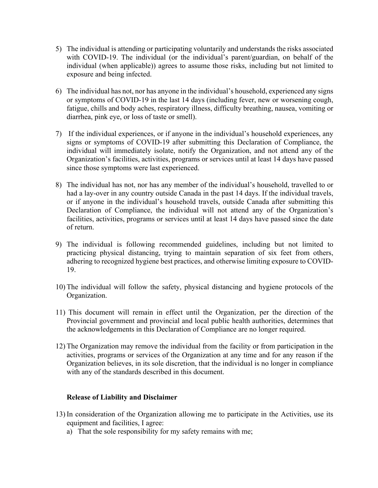- 5) The individual is attending or participating voluntarily and understands the risks associated with COVID-19. The individual (or the individual's parent/guardian, on behalf of the individual (when applicable)) agrees to assume those risks, including but not limited to exposure and being infected.
- 6) The individual has not, nor has anyone in the individual's household, experienced any signs or symptoms of COVID-19 in the last 14 days (including fever, new or worsening cough, fatigue, chills and body aches, respiratory illness, difficulty breathing, nausea, vomiting or diarrhea, pink eye, or loss of taste or smell).
- 7) If the individual experiences, or if anyone in the individual's household experiences, any signs or symptoms of COVID-19 after submitting this Declaration of Compliance, the individual will immediately isolate, notify the Organization, and not attend any of the Organization's facilities, activities, programs or services until at least 14 days have passed since those symptoms were last experienced.
- 8) The individual has not, nor has any member of the individual's household, travelled to or had a lay-over in any country outside Canada in the past 14 days. If the individual travels, or if anyone in the individual's household travels, outside Canada after submitting this Declaration of Compliance, the individual will not attend any of the Organization's facilities, activities, programs or services until at least 14 days have passed since the date of return.
- 9) The individual is following recommended guidelines, including but not limited to practicing physical distancing, trying to maintain separation of six feet from others, adhering to recognized hygiene best practices, and otherwise limiting exposure to COVID-19.
- 10) The individual will follow the safety, physical distancing and hygiene protocols of the Organization.
- 11) This document will remain in effect until the Organization, per the direction of the Provincial government and provincial and local public health authorities, determines that the acknowledgements in this Declaration of Compliance are no longer required.
- 12) The Organization may remove the individual from the facility or from participation in the activities, programs or services of the Organization at any time and for any reason if the Organization believes, in its sole discretion, that the individual is no longer in compliance with any of the standards described in this document.

#### **Release of Liability and Disclaimer**

- 13) In consideration of the Organization allowing me to participate in the Activities, use its equipment and facilities, I agree:
	- a) That the sole responsibility for my safety remains with me;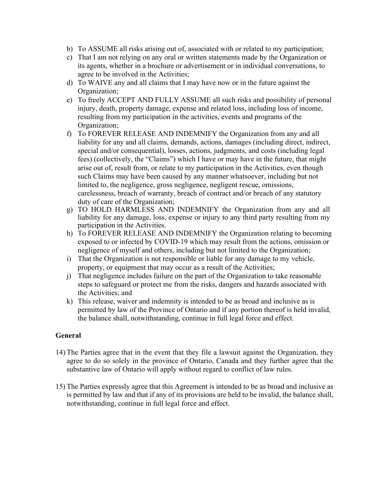- b) To ASSUME all risks arising out of, associated with or related to my participation;
- c) That I am not relying on any oral or written statements made by the Organization or its agents, whether in a brochure or advertisement or in individual conversations, to agree to be involved in the Activities;
- d) To WAIVE any and all claims that I may have now or in the future against the Organization;
- e) To freely ACCEPT AND FULLY ASSUME all such risks and possibility of personal injury, death, property damage, expense and related loss, including loss of income, resulting from my participation in the activities, events and programs of the Organization;
- f) To FOREVER RELEASE AND INDEMNIFY the Organization from any and all liability for any and all claims, demands, actions, damages (including direct, indirect, special and/or consequential), losses, actions, judgments, and costs (including legal fees) (collectively, the "Claims") which I have or may have in the future, that might arise out of, result from, or relate to my participation in the Activities, even though such Claims may have been caused by any manner whatsoever, including but not limited to, the negligence, gross negligence, negligent rescue, omissions, carelessness, breach of warranty, breach of contract and/or breach of any statutory duty of care of the Organization;
- g) TO HOLD HARMLESS AND INDEMNIFY the Organization from any and all liability for any damage, loss, expense or injury to any third party resulting from my participation in the Activities.
- h) To FOREVER RELEASE AND INDEMNIFY the Organization relating to becoming exposed to or infected by COVID-19 which may result from the actions, omission or negligence of myself and others, including but not limited to the Organization;
- i) That the Organization is not responsible or liable for any damage to my vehicle, property, or equipment that may occur as a result of the Activities;
- j) That negligence includes failure on the part of the Organization to take reasonable steps to safeguard or protect me from the risks, dangers and hazards associated with the Activities; and
- k) This release, waiver and indemnity is intended to be as broad and inclusive as is permitted by law of the Province of Ontario and if any portion thereof is held invalid, the balance shall, notwithstanding, continue in full legal force and effect.

# **General**

- 14) The Parties agree that in the event that they file a lawsuit against the Organization, they agree to do so solely in the province of Ontario, Canada and they further agree that the substantive law of Ontario will apply without regard to conflict of law rules.
- 15) The Parties expressly agree that this Agreement is intended to be as broad and inclusive as is permitted by law and that if any of its provisions are held to be invalid, the balance shall, notwithstanding, continue in full legal force and effect.